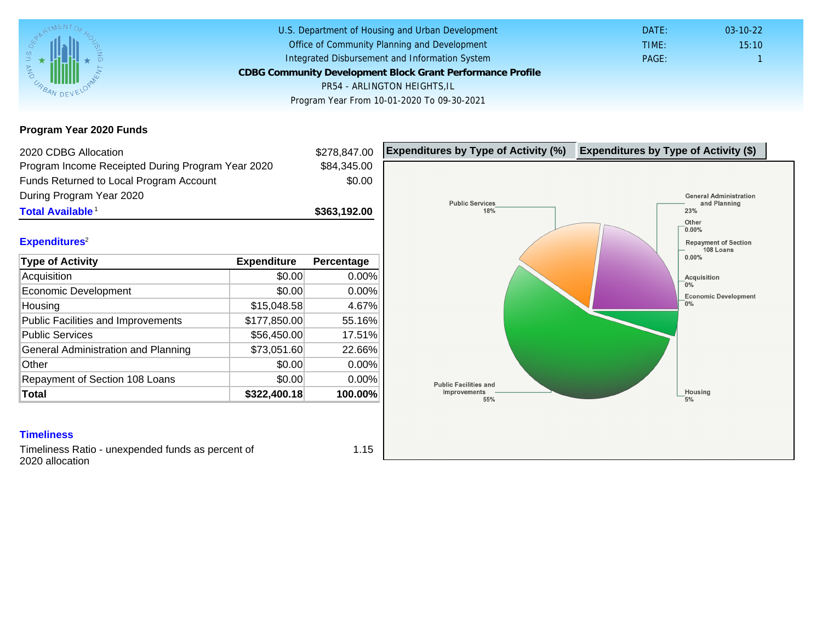Program Year 2020 Funds

| 2020 CDBG Allocation                              |              | \$278,847.00 | Expenditures by Type of Activity (%) | Expenditure |
|---------------------------------------------------|--------------|--------------|--------------------------------------|-------------|
| Program Income Receipted During Program Year 2020 |              | \$84,345.00  |                                      |             |
| Funds Returned to Local Program Account           |              | \$0.00       |                                      |             |
| During Program Year 2020                          |              |              |                                      |             |
| Total Available <sup>1</sup>                      |              | \$363,192.00 |                                      |             |
| Expenditures <sup>2</sup>                         |              |              |                                      |             |
|                                                   |              |              |                                      |             |
| Type of Activity                                  | Expenditure  | Percentage   |                                      |             |
| Acquisition                                       | \$0.00       | 0.00%        |                                      |             |
| Economic Development                              | \$0.00       | $0.00\%$     |                                      |             |
| Housing                                           | \$15,048.58  | 4.67%        |                                      |             |
| <b>Public Facilities and Improvements</b>         | \$177,850.00 | 55.16%       |                                      |             |
| <b>Public Services</b>                            | \$56,450.00  | 17.51%       |                                      |             |
| General Administration and Planning               | \$73,051.60  | 22.66%       |                                      |             |
| Other                                             | \$0.00       | 0.00%        |                                      |             |
| Repayment of Section 108 Loans                    | \$0.00       | $0.00\%$     |                                      |             |
| Total                                             | \$322,400.18 | 100.00%      |                                      |             |

**Timeliness** 

Timeliness Ratio - unexpended funds as percent of 2020 allocation

1.15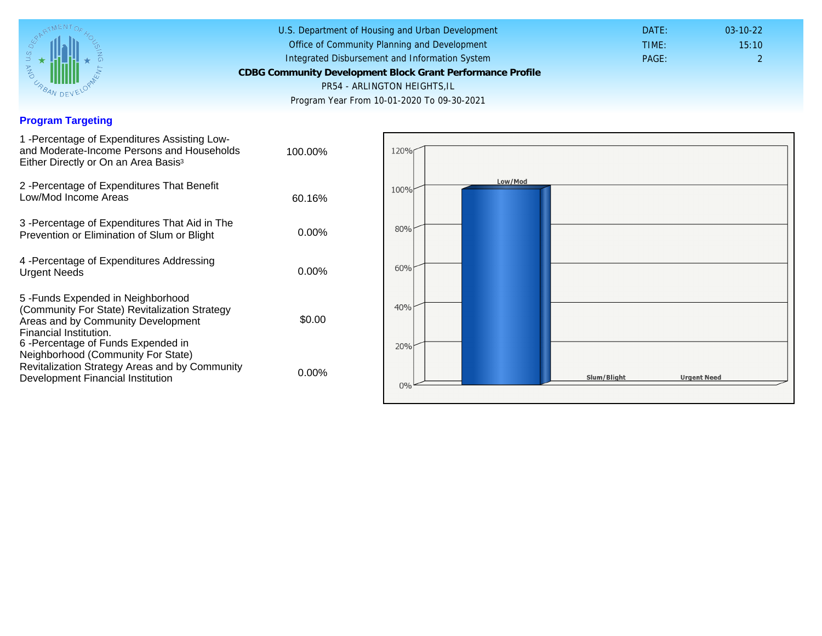## Program Targeting

| 1 - Percentage of Expenditures Assisting Low-<br>and Moderate-Income Persons and Households<br>Either Directly or On an Area Basis <sup>3</sup>                                                                              | 100.00%  |
|------------------------------------------------------------------------------------------------------------------------------------------------------------------------------------------------------------------------------|----------|
| 2 - Percentage of Expenditures That Benefit<br>Low/Mod Income Areas                                                                                                                                                          | 60.16%   |
| 3 - Percentage of Expenditures That Aid in The<br>Prevention or Elimination of Slum or Blight                                                                                                                                | 0.00%    |
| 4 - Percentage of Expenditures Addressing<br><b>Urgent Needs</b>                                                                                                                                                             | $0.00\%$ |
| 5-Funds Expended in Neighborhood<br>(Community For State) Revitalization Strategy<br>Areas and by Community Development<br>Financial Institution.<br>6-Percentage of Funds Expended in<br>Neighborhood (Community For State) | \$0.00   |
| Revitalization Strategy Areas and by Community<br>Development Financial Institution                                                                                                                                          | $0.00\%$ |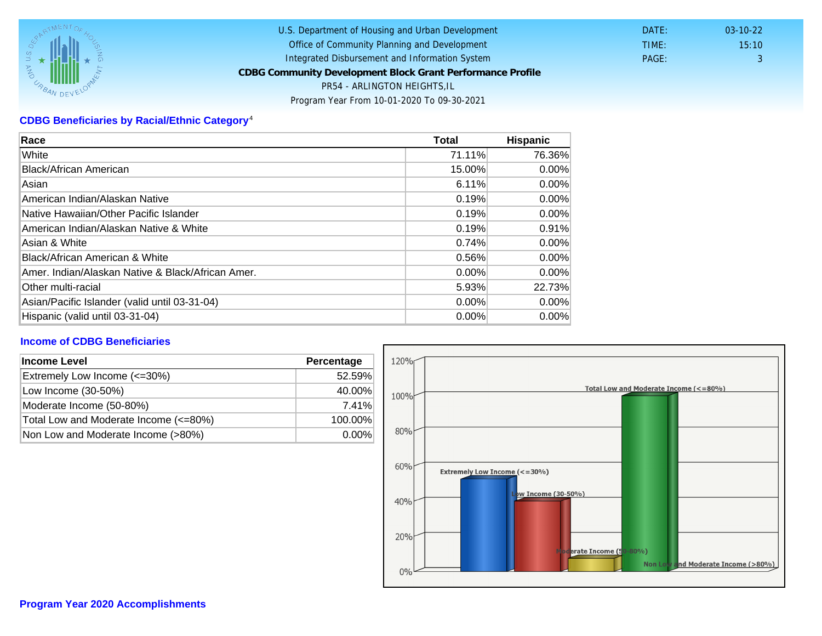## CDBG Beneficiaries by Racial/Ethnic Category <sup>4</sup>

| Race                                              | Total    | Hispanic |
|---------------------------------------------------|----------|----------|
| White                                             | 71.11%   | 76.36%   |
| Black/African American                            | 15.00%   | $0.00\%$ |
| Asian                                             | 6.11%    | $0.00\%$ |
| IAmerican Indian/Alaskan Native                   | 0.19%    | $0.00\%$ |
| lNative Hawaiian/Other Pacific Islander           | 0.19%    | $0.00\%$ |
| American Indian/Alaskan Native & White            | 0.19%    | 0.91%    |
| Asian & White                                     | 0.74%    | 0.00%    |
| Black/African American & White                    | 0.56%    | $0.00\%$ |
| Amer. Indian/Alaskan Native & Black/African Amer. | $0.00\%$ | $0.00\%$ |
| <b>Other multi-racial</b>                         | 5.93%    | 22.73%   |
| Asian/Pacific Islander (valid until 03-31-04)     | 0.00%    | 0.00%    |
| Hispanic (valid until 03-31-04)                   | 0.00%    | 0.00%    |

## Income of CDBG Beneficiaries

| Income Level                          | Percentage |
|---------------------------------------|------------|
| Extremely Low Income (<=30%)          | 52.59%     |
| Low Income (30-50%)                   | 40.00%     |
| Moderate Income (50-80%)              | 7.41%      |
| Total Low and Moderate Income (<=80%) | 100.00%    |
| Non Low and Moderate Income (>80%)    | $0.00\%$   |